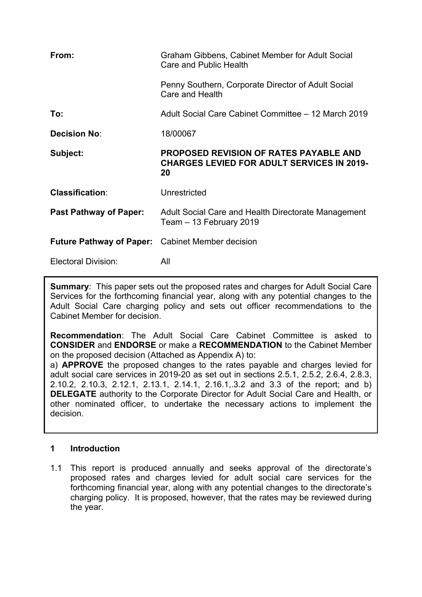| From:                           | Graham Gibbens, Cabinet Member for Adult Social<br>Care and Public Health                                |
|---------------------------------|----------------------------------------------------------------------------------------------------------|
|                                 | Penny Southern, Corporate Director of Adult Social<br>Care and Health                                    |
| To:                             | Adult Social Care Cabinet Committee – 12 March 2019                                                      |
| <b>Decision No:</b>             | 18/00067                                                                                                 |
| Subject:                        | <b>PROPOSED REVISION OF RATES PAYABLE AND</b><br><b>CHARGES LEVIED FOR ADULT SERVICES IN 2019-</b><br>20 |
| <b>Classification:</b>          | Unrestricted                                                                                             |
| <b>Past Pathway of Paper:</b>   | Adult Social Care and Health Directorate Management<br>Team - 13 February 2019                           |
| <b>Future Pathway of Paper:</b> | <b>Cabinet Member decision</b>                                                                           |
| Electoral Division:             | All                                                                                                      |

**Summary**: This paper sets out the proposed rates and charges for Adult Social Care Services for the forthcoming financial year, along with any potential changes to the Adult Social Care charging policy and sets out officer recommendations to the Cabinet Member for decision.

**Recommendation**: The Adult Social Care Cabinet Committee is asked to **CONSIDER** and **ENDORSE** or make a **RECOMMENDATION** to the Cabinet Member on the proposed decision (Attached as Appendix A) to:

a) **APPROVE** the proposed changes to the rates payable and charges levied for adult social care services in 2019-20 as set out in sections 2.5.1, 2.5.2, 2.6.4, 2.8.3, 2.10.2, 2.10.3, 2.12.1, 2.13.1, 2.14.1, 2.16.1,.3.2 and 3.3 of the report; and b) **DELEGATE** authority to the Corporate Director for Adult Social Care and Health, or other nominated officer, to undertake the necessary actions to implement the decision.

# **1 Introduction**

1.1 This report is produced annually and seeks approval of the directorate's proposed rates and charges levied for adult social care services for the forthcoming financial year, along with any potential changes to the directorate's charging policy. It is proposed, however, that the rates may be reviewed during the year.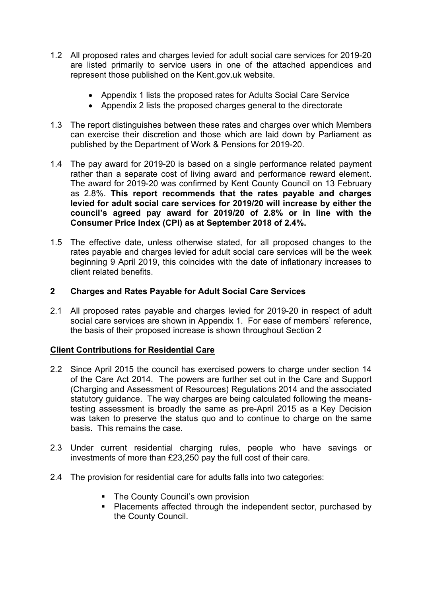- 1.2 All proposed rates and charges levied for adult social care services for 2019-20 are listed primarily to service users in one of the attached appendices and represent those published on the Kent.gov.uk website.
	- Appendix 1 lists the proposed rates for Adults Social Care Service
	- Appendix 2 lists the proposed charges general to the directorate
- 1.3 The report distinguishes between these rates and charges over which Members can exercise their discretion and those which are laid down by Parliament as published by the Department of Work & Pensions for 2019-20.
- 1.4 The pay award for 2019-20 is based on a single performance related payment rather than a separate cost of living award and performance reward element. The award for 2019-20 was confirmed by Kent County Council on 13 February as 2.8%. **This report recommends that the rates payable and charges levied for adult social care services for 2019/20 will increase by either the council's agreed pay award for 2019/20 of 2.8% or in line with the Consumer Price Index (CPI) as at September 2018 of 2.4%.**
- 1.5 The effective date, unless otherwise stated, for all proposed changes to the rates payable and charges levied for adult social care services will be the week beginning 9 April 2019, this coincides with the date of inflationary increases to client related benefits.

# **2 Charges and Rates Payable for Adult Social Care Services**

2.1 All proposed rates payable and charges levied for 2019-20 in respect of adult social care services are shown in Appendix 1. For ease of members' reference, the basis of their proposed increase is shown throughout Section 2

# **Client Contributions for Residential Care**

- 2.2 Since April 2015 the council has exercised powers to charge under section 14 of the Care Act 2014. The powers are further set out in the Care and Support (Charging and Assessment of Resources) Regulations 2014 and the associated statutory guidance. The way charges are being calculated following the meanstesting assessment is broadly the same as pre-April 2015 as a Key Decision was taken to preserve the status quo and to continue to charge on the same basis. This remains the case.
- 2.3 Under current residential charging rules, people who have savings or investments of more than £23,250 pay the full cost of their care.
- 2.4 The provision for residential care for adults falls into two categories:
	- The County Council's own provision
	- **Placements affected through the independent sector, purchased by** the County Council.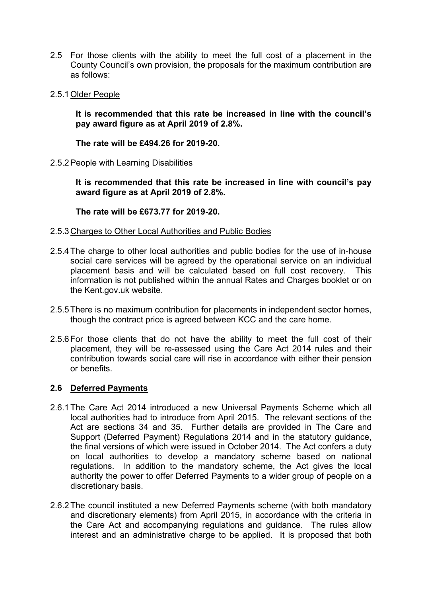- 2.5 For those clients with the ability to meet the full cost of a placement in the County Council's own provision, the proposals for the maximum contribution are as follows:
- 2.5.1Older People

**It is recommended that this rate be increased in line with the council's pay award figure as at April 2019 of 2.8%.**

**The rate will be £494.26 for 2019-20.**

2.5.2People with Learning Disabilities

**It is recommended that this rate be increased in line with council's pay award figure as at April 2019 of 2.8%.**

**The rate will be £673.77 for 2019-20.**

- 2.5.3Charges to Other Local Authorities and Public Bodies
- 2.5.4The charge to other local authorities and public bodies for the use of in-house social care services will be agreed by the operational service on an individual placement basis and will be calculated based on full cost recovery. This information is not published within the annual Rates and Charges booklet or on the Kent.gov.uk website.
- 2.5.5There is no maximum contribution for placements in independent sector homes, though the contract price is agreed between KCC and the care home.
- 2.5.6For those clients that do not have the ability to meet the full cost of their placement, they will be re-assessed using the Care Act 2014 rules and their contribution towards social care will rise in accordance with either their pension or benefits.

### **2.6 Deferred Payments**

- 2.6.1 The Care Act 2014 introduced a new Universal Payments Scheme which all local authorities had to introduce from April 2015. The relevant sections of the Act are sections 34 and 35. Further details are provided in The Care and Support (Deferred Payment) Regulations 2014 and in the statutory guidance, the final versions of which were issued in October 2014. The Act confers a duty on local authorities to develop a mandatory scheme based on national regulations. In addition to the mandatory scheme, the Act gives the local authority the power to offer Deferred Payments to a wider group of people on a discretionary basis.
- 2.6.2 The council instituted a new Deferred Payments scheme (with both mandatory and discretionary elements) from April 2015, in accordance with the criteria in the Care Act and accompanying regulations and guidance. The rules allow interest and an administrative charge to be applied. It is proposed that both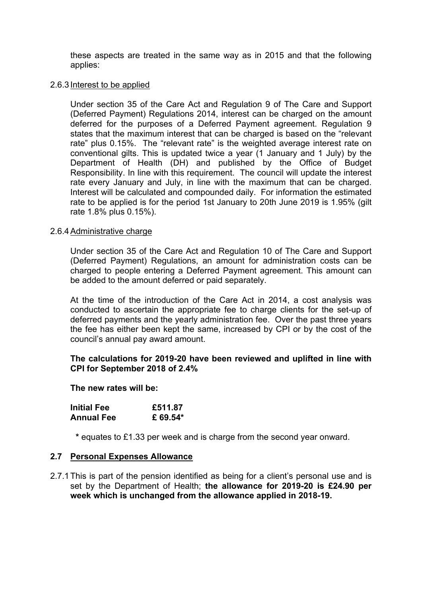these aspects are treated in the same way as in 2015 and that the following applies:

#### 2.6.3 Interest to be applied

Under section 35 of the Care Act and Regulation 9 of The Care and Support (Deferred Payment) Regulations 2014, interest can be charged on the amount deferred for the purposes of a Deferred Payment agreement. Regulation 9 states that the maximum interest that can be charged is based on the "relevant rate" plus 0.15%. The "relevant rate" is the weighted average interest rate on conventional gilts. This is updated twice a year (1 January and 1 July) by the Department of Health (DH) and published by the Office of Budget Responsibility. In line with this requirement. The council will update the interest rate every January and July, in line with the maximum that can be charged. Interest will be calculated and compounded daily. For information the estimated rate to be applied is for the period 1st January to 20th June 2019 is 1.95% (gilt rate 1.8% plus 0.15%).

#### 2.6.4Administrative charge

Under section 35 of the Care Act and Regulation 10 of The Care and Support (Deferred Payment) Regulations, an amount for administration costs can be charged to people entering a Deferred Payment agreement. This amount can be added to the amount deferred or paid separately.

At the time of the introduction of the Care Act in 2014, a cost analysis was conducted to ascertain the appropriate fee to charge clients for the set-up of deferred payments and the yearly administration fee. Over the past three years the fee has either been kept the same, increased by CPI or by the cost of the council's annual pay award amount.

#### **The calculations for 2019-20 have been reviewed and uplifted in line with CPI for September 2018 of 2.4%**

**The new rates will be:**

| <b>Initial Fee</b> | £511.87 |
|--------------------|---------|
| <b>Annual Fee</b>  | £69.54* |

**\*** equates to £1.33 per week and is charge from the second year onward.

#### **2.7 Personal Expenses Allowance**

2.7.1This is part of the pension identified as being for a client's personal use and is set by the Department of Health; **the allowance for 2019-20 is £24.90 per week which is unchanged from the allowance applied in 2018-19.**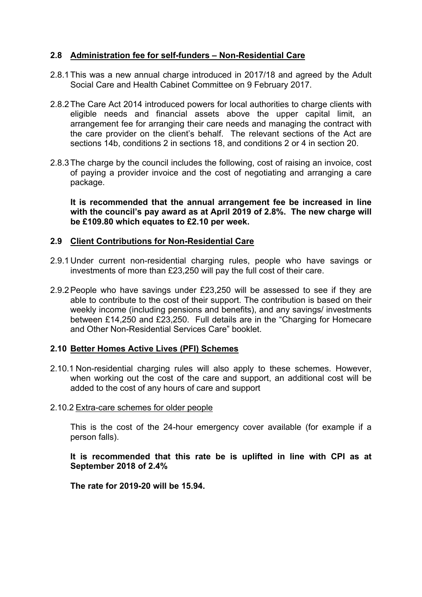## **2.8 Administration fee for self-funders – Non-Residential Care**

- 2.8.1This was a new annual charge introduced in 2017/18 and agreed by the Adult Social Care and Health Cabinet Committee on 9 February 2017.
- 2.8.2The Care Act 2014 introduced powers for local authorities to charge clients with eligible needs and financial assets above the upper capital limit, an arrangement fee for arranging their care needs and managing the contract with the care provider on the client's behalf. The relevant sections of the Act are sections 14b, conditions 2 in sections 18, and conditions 2 or 4 in section 20.
- 2.8.3The charge by the council includes the following, cost of raising an invoice, cost of paying a provider invoice and the cost of negotiating and arranging a care package.

**It is recommended that the annual arrangement fee be increased in line with the council's pay award as at April 2019 of 2.8%. The new charge will be £109.80 which equates to £2.10 per week.**

### **2.9 Client Contributions for Non-Residential Care**

- 2.9.1 Under current non-residential charging rules, people who have savings or investments of more than £23,250 will pay the full cost of their care.
- 2.9.2People who have savings under £23,250 will be assessed to see if they are able to contribute to the cost of their support. The contribution is based on their weekly income (including pensions and benefits), and any savings/ investments between £14,250 and £23,250. Full details are in the "Charging for Homecare and Other Non-Residential Services Care" booklet.

## **2.10 Better Homes Active Lives (PFI) Schemes**

- 2.10.1 Non-residential charging rules will also apply to these schemes. However, when working out the cost of the care and support, an additional cost will be added to the cost of any hours of care and support
- 2.10.2 Extra-care schemes for older people

This is the cost of the 24-hour emergency cover available (for example if a person falls).

**It is recommended that this rate be is uplifted in line with CPI as at September 2018 of 2.4%**

**The rate for 2019-20 will be 15.94.**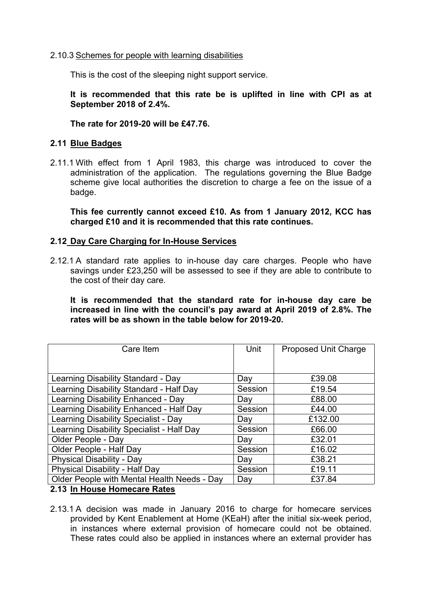#### 2.10.3 Schemes for people with learning disabilities

This is the cost of the sleeping night support service.

**It is recommended that this rate be is uplifted in line with CPI as at September 2018 of 2.4%.**

#### **The rate for 2019-20 will be £47.76.**

#### **2.11 Blue Badges**

2.11.1 With effect from 1 April 1983, this charge was introduced to cover the administration of the application. The regulations governing the Blue Badge scheme give local authorities the discretion to charge a fee on the issue of a badge.

**This fee currently cannot exceed £10. As from 1 January 2012, KCC has charged £10 and it is recommended that this rate continues.**

#### **2.12 Day Care Charging for In-House Services**

2.12.1 A standard rate applies to in-house day care charges. People who have savings under £23,250 will be assessed to see if they are able to contribute to the cost of their day care.

**It is recommended that the standard rate for in-house day care be increased in line with the council's pay award at April 2019 of 2.8%. The rates will be as shown in the table below for 2019-20.**

| Care Item                                   | Unit    | Proposed Unit Charge |
|---------------------------------------------|---------|----------------------|
|                                             |         |                      |
|                                             |         |                      |
| Learning Disability Standard - Day          | Day     | £39.08               |
| Learning Disability Standard - Half Day     | Session | £19.54               |
| Learning Disability Enhanced - Day          | Day     | £88.00               |
| Learning Disability Enhanced - Half Day     | Session | £44.00               |
| Learning Disability Specialist - Day        | Day     | £132.00              |
| Learning Disability Specialist - Half Day   | Session | £66.00               |
| Older People - Day                          | Day     | £32.01               |
| Older People - Half Day                     | Session | £16.02               |
| <b>Physical Disability - Day</b>            | Day     | £38.21               |
| <b>Physical Disability - Half Day</b>       | Session | £19.11               |
| Older People with Mental Health Needs - Day | Day     | £37.84               |
| 0.40 la Harras Hamsasana Datas              |         |                      |

### **2.13 In House Homecare Rates**

2.13.1 A decision was made in January 2016 to charge for homecare services provided by Kent Enablement at Home (KEaH) after the initial six-week period, in instances where external provision of homecare could not be obtained. These rates could also be applied in instances where an external provider has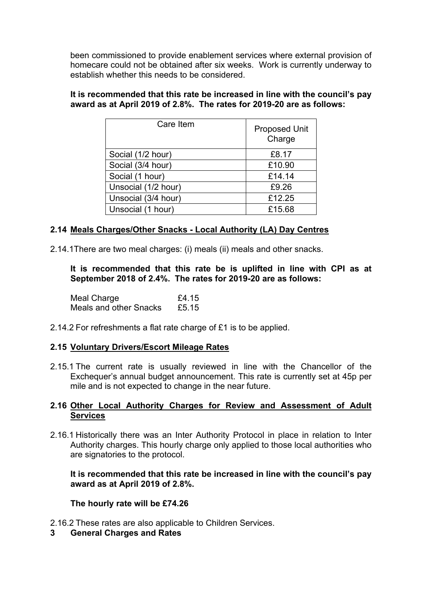been commissioned to provide enablement services where external provision of homecare could not be obtained after six weeks. Work is currently underway to establish whether this needs to be considered.

### **It is recommended that this rate be increased in line with the council's pay award as at April 2019 of 2.8%. The rates for 2019-20 are as follows:**

| Care Item           | <b>Proposed Unit</b><br>Charge |
|---------------------|--------------------------------|
| Social (1/2 hour)   | £8.17                          |
| Social (3/4 hour)   | £10.90                         |
| Social (1 hour)     | £14.14                         |
| Unsocial (1/2 hour) | £9.26                          |
| Unsocial (3/4 hour) | £12.25                         |
| Unsocial (1 hour)   | £15.68                         |

# **2.14 Meals Charges/Other Snacks - Local Authority (LA) Day Centres**

2.14.1There are two meal charges: (i) meals (ii) meals and other snacks.

**It is recommended that this rate be is uplifted in line with CPI as at September 2018 of 2.4%. The rates for 2019-20 are as follows:**

| Meal Charge            | £4.15 |
|------------------------|-------|
| Meals and other Snacks | £5.15 |

2.14.2 For refreshments a flat rate charge of £1 is to be applied.

# **2.15 Voluntary Drivers/Escort Mileage Rates**

2.15.1 The current rate is usually reviewed in line with the Chancellor of the Exchequer's annual budget announcement. This rate is currently set at 45p per mile and is not expected to change in the near future.

## **2.16 Other Local Authority Charges for Review and Assessment of Adult Services**

2.16.1 Historically there was an Inter Authority Protocol in place in relation to Inter Authority charges. This hourly charge only applied to those local authorities who are signatories to the protocol.

**It is recommended that this rate be increased in line with the council's pay award as at April 2019 of 2.8%.**

### **The hourly rate will be £74.26**

2.16.2 These rates are also applicable to Children Services.

**3 General Charges and Rates**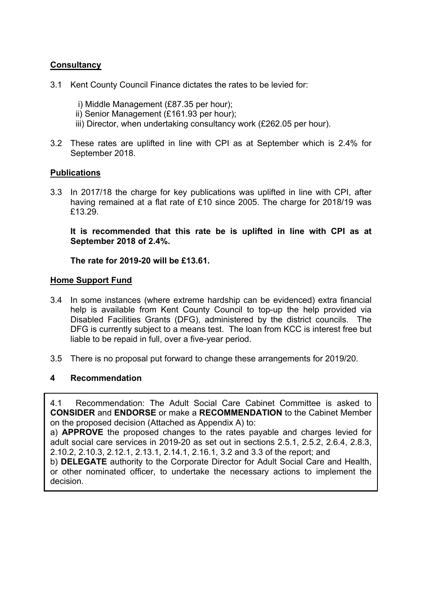# **Consultancy**

- 3.1 Kent County Council Finance dictates the rates to be levied for:
	- i) Middle Management (£87.35 per hour);
	- ii) Senior Management (£161.93 per hour);
	- iii) Director, when undertaking consultancy work (£262.05 per hour).
- 3.2 These rates are uplifted in line with CPI as at September which is 2.4% for September 2018.

## **Publications**

3.3 In 2017/18 the charge for key publications was uplifted in line with CPI, after having remained at a flat rate of £10 since 2005. The charge for 2018/19 was £13.29.

**It is recommended that this rate be is uplifted in line with CPI as at September 2018 of 2.4%.**

### **The rate for 2019-20 will be £13.61.**

### **Home Support Fund**

- 3.4 In some instances (where extreme hardship can be evidenced) extra financial help is available from Kent County Council to top-up the help provided via Disabled Facilities Grants (DFG), administered by the district councils. The DFG is currently subject to a means test. The loan from KCC is interest free but liable to be repaid in full, over a five-year period.
- 3.5 There is no proposal put forward to change these arrangements for 2019/20.

### **4 Recommendation**

4.1 Recommendation: The Adult Social Care Cabinet Committee is asked to **CONSIDER** and **ENDORSE** or make a **RECOMMENDATION** to the Cabinet Member on the proposed decision (Attached as Appendix A) to:

a) **APPROVE** the proposed changes to the rates payable and charges levied for adult social care services in 2019-20 as set out in sections 2.5.1, 2.5.2, 2.6.4, 2.8.3, 2.10.2, 2.10.3, 2.12.1, 2.13.1, 2.14.1, 2.16.1, 3.2 and 3.3 of the report; and

b) **DELEGATE** authority to the Corporate Director for Adult Social Care and Health, or other nominated officer, to undertake the necessary actions to implement the decision.